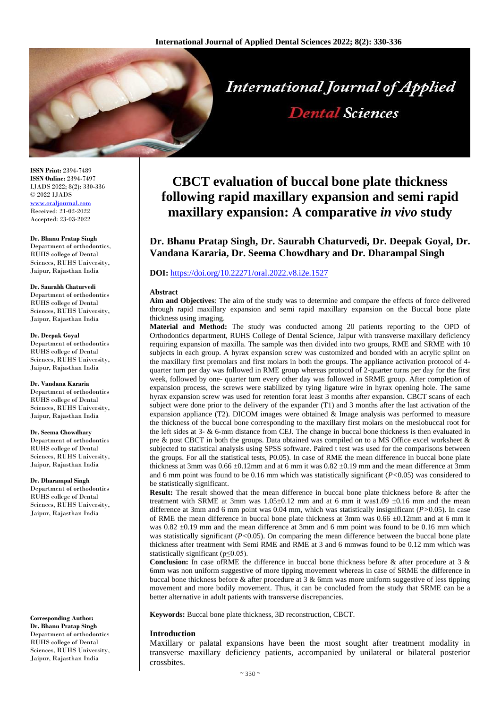

**ISSN Print:** 2394-7489 **ISSN Online:** 2394-7497 IJADS 2022; 8(2): 330-336 © 2022 IJADS [www.oraljournal.com](http://www.oraljournal.com/) Received: 21-02-2022 Accepted: 23-03-2022

**Dr. Bhanu Pratap Singh** Department of orthodontics, RUHS college of Dental Sciences, RUHS University, Jaipur, Rajasthan India

#### **Dr. Saurabh Chaturvedi** Department of orthodontics

RUHS college of Dental Sciences, RUHS University, Jaipur, Rajasthan India

#### **Dr. Deepak Goyal**

Department of orthodontics RUHS college of Dental Sciences, RUHS University, Jaipur, Rajasthan India

#### **Dr. Vandana Kararia**

Department of orthodontics RUHS college of Dental Sciences, RUHS University, Jaipur, Rajasthan India

#### **Dr. Seema Chowdhary**

Department of orthodontics RUHS college of Dental Sciences, RUHS University, Jaipur, Rajasthan India

#### **Dr. Dharampal Singh**

Department of orthodontics RUHS college of Dental Sciences, RUHS University, Jaipur, Rajasthan India

# **Corresponding Author: Dr. Bhanu Pratap Singh** Department of orthodontics

RUHS college of Dental Sciences, RUHS University, Jaipur, Rajasthan India

# **CBCT evaluation of buccal bone plate thickness following rapid maxillary expansion and semi rapid maxillary expansion: A comparative** *in vivo* **study**

**Dental Sciences** 

**Dr. Bhanu Pratap Singh, Dr. Saurabh Chaturvedi, Dr. Deepak Goyal, Dr. Vandana Kararia, Dr. Seema Chowdhary and Dr. Dharampal Singh**

## **DOI:** <https://doi.org/10.22271/oral.2022.v8.i2e.1527>

#### **Abstract**

**Aim and Objectives**: The aim of the study was to determine and compare the effects of force delivered through rapid maxillary expansion and semi rapid maxillary expansion on the Buccal bone plate thickness using imaging.

**Material and Method:** The study was conducted among 20 patients reporting to the OPD of Orthodontics department, RUHS College of Dental Science, Jaipur with transverse maxillary deficiency requiring expansion of maxilla. The sample was then divided into two groups, RME and SRME with 10 subjects in each group. A hyrax expansion screw was customized and bonded with an acrylic splint on the maxillary first premolars and first molars in both the groups. The appliance activation protocol of 4 quarter turn per day was followed in RME group whereas protocol of 2-quarter turns per day for the first week, followed by one- quarter turn every other day was followed in SRME group. After completion of expansion process, the screws were stabilized by tying ligature wire in hyrax opening hole. The same hyrax expansion screw was used for retention forat least 3 months after expansion. CBCT scans of each subject were done prior to the delivery of the expander (T1) and 3 months after the last activation of the expansion appliance (T2). DICOM images were obtained  $\&$  Image analysis was performed to measure the thickness of the buccal bone corresponding to the maxillary first molars on the mesiobuccal root for the left sides at 3- & 6-mm distance from CEJ. The change in buccal bone thickness is then evaluated in pre & post CBCT in both the groups. Data obtained was compiled on to a MS Office excel worksheet & subjected to statistical analysis using SPSS software. Paired t test was used for the comparisons between the groups. For all the statistical tests, P0.05). In case of RME the mean difference in buccal bone plate thickness at 3mm was  $0.66 \pm 0.12$ mm and at 6 mm it was  $0.82 \pm 0.19$  mm and the mean difference at 3mm and 6 mm point was found to be 0.16 mm which was statistically significant (*P<*0.05) was considered to be statistically significant.

**Result:** The result showed that the mean difference in buccal bone plate thickness before & after the treatment with SRME at 3mm was  $1.05\pm0.12$  mm and at 6 mm it was1.09  $\pm0.16$  mm and the mean difference at 3mm and 6 mm point was 0.04 mm, which was statistically insignificant (*P>*0.05). In case of RME the mean difference in buccal bone plate thickness at 3mm was 0.66 ±0.12mm and at 6 mm it was  $0.82 \pm 0.19$  mm and the mean difference at 3mm and 6 mm point was found to be 0.16 mm which was statistically significant (*P*<0.05). On comparing the mean difference between the buccal bone plate thickness after treatment with Semi RME and RME at 3 and 6 mmwas found to be 0.12 mm which was statistically significant (p≤0.05).

**Conclusion:** In case ofRME the difference in buccal bone thickness before & after procedure at 3 & 6mm was non uniform suggestive of more tipping movement whereas in case of SRME the difference in buccal bone thickness before  $\&$  after procedure at 3  $\&$  6mm was more uniform suggestive of less tipping movement and more bodily movement. Thus, it can be concluded from the study that SRME can be a better alternative in adult patients with transverse discrepancies.

**Keywords:** Buccal bone plate thickness, 3D reconstruction, CBCT.

## **Introduction**

Maxillary or palatal expansions have been the most sought after treatment modality in transverse maxillary deficiency patients, accompanied by unilateral or bilateral posterior crossbites.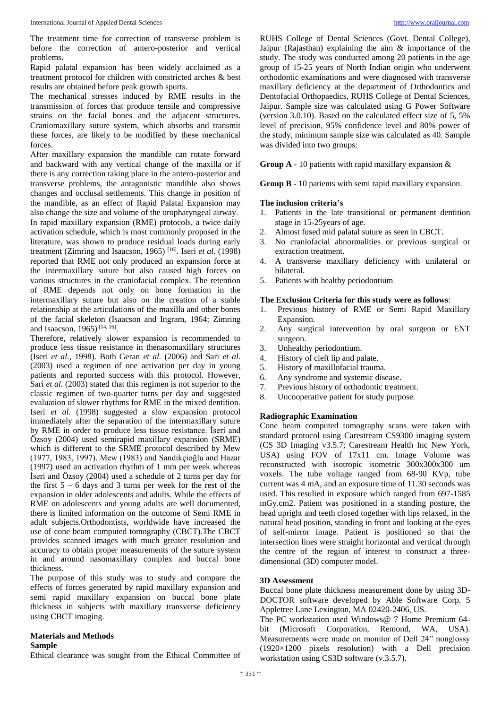The treatment time for correction of transverse problem is before the correction of antero-posterior and vertical problems**.**

Rapid palatal expansion has been widely acclaimed as a treatment protocol for children with constricted arches & best results are obtained before peak growth spurts.

The mechanical stresses induced by RME results in the transmission of forces that produce tensile and compressive strains on the facial bones and the adjacent structures. Craniomaxillary suture system, which absorbs and transmit these forces, are likely to be modified by these mechanical forces.

After maxillary expansion the mandible can rotate forward and backward with any vertical change of the maxilla or if there is any correction taking place in the antero-posterior and transverse problems, the antagonistic mandible also shows changes and occlusal settlements. This change in position of the mandible, as an effect of Rapid Palatal Expansion may also change the size and volume of the oropharyngeal airway. In rapid maxillary expansion (RME) protocols, a twice daily activation schedule, which is most commonly proposed in the literature, was shown to produce residual loads during early treatment (Zimring and Isaacson, 1965) [16] . Iseri *et al.* (1998) reported that RME not only produced an expansion force at the intermaxillary suture but also caused high forces on various structures in the craniofacial complex. The retention of RME depends not only on bone formation in the intermaxillary suture but also on the creation of a stable relationship at the articulations of the maxilla and other bones of the facial skeleton (Isaacson and Ingram, 1964; Zimring and Isaacson, 1965)<sup>[14, 16]</sup>.

Therefore, relatively slower expansion is recommended to produce less tissue resistance in thenasomaxillary structures (Iseri *et al.*, 1998). Both Geran *et al.* (2006) and Sari *et al.* (2003) used a regimen of one activation per day in young patients and reported success with this protocol. However, Sari *et al.* (2003) stated that this regimen is not superior to the classic regimen of two-quarter turns per day and suggested evaluation of slower rhythms for RME in the mixed dentition. Iseri *et al.* (1998) suggested a slow expansion protocol immediately after the separation of the intermaxillary suture by RME in order to produce less tissue resistance. İseri and Özsoy (2004) used semirapid maxillary expansion (SRME) which is different to the SRME protocol described by Mew (1977, 1983, 1997). Mew (1983) and Sandikçioğlu and Hazar (1997) used an activation rhythm of 1 mm per week whereas İseri and Özsoy (2004) used a schedule of 2 turns per day for the first  $5 - 6$  days and 3 turns per week for the rest of the expansion in older adolescents and adults. While the effects of RME on adolescents and young adults are well documented. there is limited information on the outcome of Semi RME in adult subjects.Orthodontists, worldwide have increased the use of cone beam computed tomography (CBCT).The CBCT provides scanned images with much greater resolution and accuracy to obtain proper measurements of the suture system in and around nasomaxillary complex and buccal bone thickness.

The purpose of this study was to study and compare the effects of forces generated by rapid maxillary expansion and semi rapid maxillary expansion on buccal bone plate thickness in subjects with maxillary transverse deficiency using CBCT imaging.

## **Materials and Methods**

## **Sample**

Ethical clearance was sought from the Ethical Committee of

RUHS College of Dental Sciences (Govt. Dental College), Jaipur (Rajasthan) explaining the aim & importance of the study. The study was conducted among 20 patients in the age group of 15-25 years of North Indian origin who underwent orthodontic examinations and were diagnosed with transverse maxillary deficiency at the department of Orthodontics and Dentofacial Orthopaedics, RUHS College of Dental Sciences, Jaipur. Sample size was calculated using G Power Software (version 3.0.10). Based on the calculated effect size of 5, 5% level of precision, 95% confidence level and 80% power of the study, minimum sample size was calculated as 40. Sample was divided into two groups:

**Group A** - 10 patients with rapid maxillary expansion &

**Group B -** 10 patients with semi rapid maxillary expansion.

## **The inclusion criteria's**

- 1. Patients in the late transitional or permanent dentition stage in 15-25years of age.
- 2. Almost fused mid palatal suture as seen in CBCT.
- 3. No craniofacial abnormalities or previous surgical or extraction treatment.
- 4. A transverse maxillary deficiency with unilateral or bilateral.
- 5. Patients with healthy periodontium

## **The Exclusion Criteria for this study were as follows**:

- 1. Previous history of RME or Semi Rapid Maxillary Expansion.
- 2. Any surgical intervention by oral surgeon or ENT surgeon.
- 3. Unhealthy periodontium.
- 4. History of cleft lip and palate.
- 5. History of maxillofacial trauma.
- 6. Any syndrome and systemic disease.
- 7. Previous history of orthodontic treatment.
- 8. Uncooperative patient for study purpose.

## **Radiographic Examination**

Cone beam computed tomography scans were taken with standard protocol using Carestream CS9300 imaging system (CS 3D Imaging v3.5.7; Carestream Health Inc New York, USA) using FOV of 17x11 cm. Image Volume was reconstructed with isotropic isometric 300x300x300 um voxels. The tube voltage ranged from 68-90 KVp, tube current was 4 mA, and an exposure time of 11.30 seconds was used. This resulted in exposure which ranged from 697-1585 mGy.cm2. Patient was positioned in a standing posture, the head upright and teeth closed together with lips relaxed, in the natural head position, standing in front and looking at the eyes of self-mirror image. Patient is positioned so that the intersection lines were straight horizontal and vertical through the centre of the region of interest to construct a threedimensional (3D) computer model.

## **3D Assessment**

Buccal bone plate thickness measurement done by using 3D-DOCTOR software developed by Able Software Corp. 5 Appletree Lane Lexington, MA 02420-2406, US.

The PC workstation used Windows@ 7 Home Premium 64 bit (Microsoft Corporation, Remond, WA, USA). Measurements were made on monitor of Dell 24" nonglossy (1920×1200 pixels resolution) with a Dell precision workstation using CS3D software (v.3.5.7).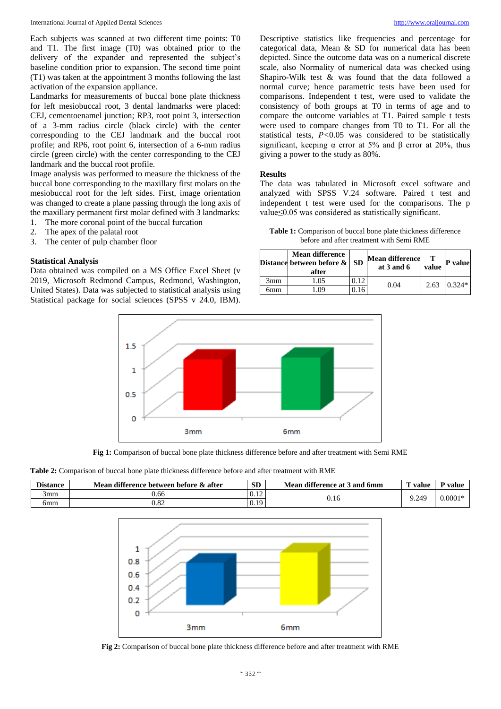Each subjects was scanned at two different time points: T0 and T1. The first image (T0) was obtained prior to the delivery of the expander and represented the subject's baseline condition prior to expansion. The second time point (T1) was taken at the appointment 3 months following the last activation of the expansion appliance.

Landmarks for measurements of buccal bone plate thickness for left mesiobuccal root, 3 dental landmarks were placed: CEJ, cementoenamel junction; RP3, root point 3, intersection of a 3-mm radius circle (black circle) with the center corresponding to the CEJ landmark and the buccal root profile; and RP6, root point 6, intersection of a 6-mm radius circle (green circle) with the center corresponding to the CEJ landmark and the buccal root profile.

Image analysis was performed to measure the thickness of the buccal bone corresponding to the maxillary first molars on the mesiobuccal root for the left sides. First, image orientation was changed to create a plane passing through the long axis of the maxillary permanent first molar defined with 3 landmarks:

- 1. The more coronal point of the buccal furcation
- 2. The apex of the palatal root
- 3. The center of pulp chamber floor

#### **Statistical Analysis**

Data obtained was compiled on a MS Office Excel Sheet (v 2019, Microsoft Redmond Campus, Redmond, Washington, United States). Data was subjected to statistical analysis using Statistical package for social sciences (SPSS v 24.0, IBM).

Descriptive statistics like frequencies and percentage for categorical data, Mean & SD for numerical data has been depicted. Since the outcome data was on a numerical discrete scale, also Normality of numerical data was checked using Shapiro-Wilk test & was found that the data followed a normal curve; hence parametric tests have been used for comparisons. Independent t test, were used to validate the consistency of both groups at T0 in terms of age and to compare the outcome variables at T1. Paired sample t tests were used to compare changes from T0 to T1. For all the statistical tests, *P<*0.05 was considered to be statistically significant, keeping  $\alpha$  error at 5% and  $\beta$  error at 20%, thus giving a power to the study as 80%.

#### **Results**

The data was tabulated in Microsoft excel software and analyzed with SPSS V.24 software. Paired t test and independent t test were used for the comparisons. The p value≤0.05 was considered as statistically significant.

**Table 1:** Comparison of buccal bone plate thickness difference before and after treatment with Semi RME

|     | <b>Mean difference</b><br>Distance between before & SD<br>after |      | <b>Mean difference</b><br>at $3$ and $6$ | value | <b>P</b> value |
|-----|-----------------------------------------------------------------|------|------------------------------------------|-------|----------------|
| 3mm | 1.05                                                            | .112 | 0.04                                     | 2.63  | $0.324*$       |
| 5mm | ng                                                              |      |                                          |       |                |



**Fig 1:** Comparison of buccal bone plate thickness difference before and after treatment with Semi RME

|  |  |  |  |  | <b>Table 2:</b> Comparison of buccal bone plate thickness difference before and after treatment with RME |  |
|--|--|--|--|--|----------------------------------------------------------------------------------------------------------|--|
|--|--|--|--|--|----------------------------------------------------------------------------------------------------------|--|

| <b>Distance</b> | Mean difference between before & after | <b>SD</b> | Mean difference at 3 and 6mm | <b>CONTRACTOR</b><br>value | value     |
|-----------------|----------------------------------------|-----------|------------------------------|----------------------------|-----------|
| 3mm             | 0.66                                   | 0.12      |                              | 9.24 <sup>c</sup>          | $0.0001*$ |
| 6mm             | $_{0.82}$                              | 0.19      | U. I 6                       |                            |           |



**Fig 2:** Comparison of buccal bone plate thickness difference before and after treatment with RME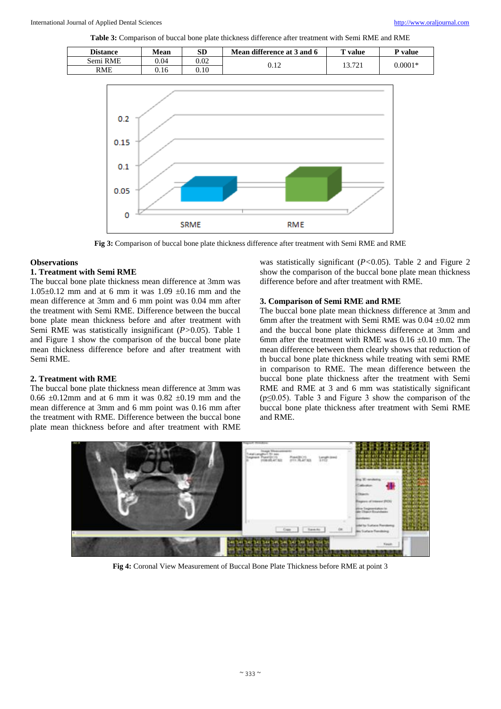**Table 3:** Comparison of buccal bone plate thickness difference after treatment with Semi RME and RME

| <b>Distance</b> | Mean | SD   | Mean difference at 3 and 6 | value  | <sup>D</sup> value |
|-----------------|------|------|----------------------------|--------|--------------------|
| Semi RME        | 0.04 | 0.02 |                            | 13.721 | $0.0001*$          |
| <b>RME</b>      | 0.16 | 0.10 | ∪.⊥∠                       |        |                    |



**Fig 3:** Comparison of buccal bone plate thickness difference after treatment with Semi RME and RME

#### **Observations**

# **1. Treatment with Semi RME**

The buccal bone plate thickness mean difference at 3mm was 1.05 $\pm$ 0.12 mm and at 6 mm it was 1.09  $\pm$ 0.16 mm and the mean difference at 3mm and 6 mm point was 0.04 mm after the treatment with Semi RME. Difference between the buccal bone plate mean thickness before and after treatment with Semi RME was statistically insignificant (*P>*0.05). Table 1 and Figure 1 show the comparison of the buccal bone plate mean thickness difference before and after treatment with Semi RME.

#### **2. Treatment with RME**

The buccal bone plate thickness mean difference at 3mm was 0.66  $\pm$ 0.12mm and at 6 mm it was 0.82  $\pm$ 0.19 mm and the mean difference at 3mm and 6 mm point was 0.16 mm after the treatment with RME. Difference between the buccal bone plate mean thickness before and after treatment with RME was statistically significant (*P<*0.05). Table 2 and Figure 2 show the comparison of the buccal bone plate mean thickness difference before and after treatment with RME.

#### **3. Comparison of Semi RME and RME**

The buccal bone plate mean thickness difference at 3mm and 6mm after the treatment with Semi RME was  $0.04 \pm 0.02$  mm and the buccal bone plate thickness difference at 3mm and 6mm after the treatment with RME was  $0.16 \pm 0.10$  mm. The mean difference between them clearly shows that reduction of th buccal bone plate thickness while treating with semi RME in comparison to RME. The mean difference between the buccal bone plate thickness after the treatment with Semi RME and RME at 3 and 6 mm was statistically significant  $(p \le 0.05)$ . Table 3 and Figure 3 show the comparison of the buccal bone plate thickness after treatment with Semi RME and RME.



**Fig 4:** Coronal View Measurement of Buccal Bone Plate Thickness before RME at point 3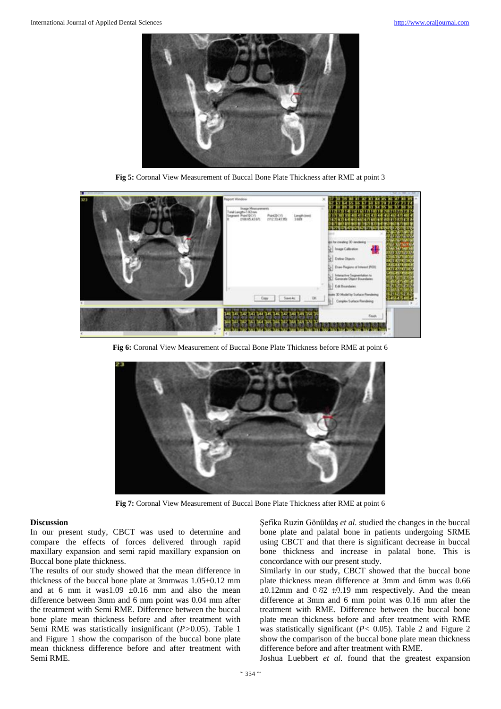

**Fig 5:** Coronal View Measurement of Buccal Bone Plate Thickness after RME at point 3



**Fig 6:** Coronal View Measurement of Buccal Bone Plate Thickness before RME at point 6



**Fig 7:** Coronal View Measurement of Buccal Bone Plate Thickness after RME at point 6

## **Discussion**

In our present study, CBCT was used to determine and compare the effects of forces delivered through rapid maxillary expansion and semi rapid maxillary expansion on Buccal bone plate thickness.

The results of our study showed that the mean difference in thickness of the buccal bone plate at 3mmwas 1.05±0.12 mm and at 6 mm it was1.09  $\pm$ 0.16 mm and also the mean difference between 3mm and 6 mm point was 0.04 mm after the treatment with Semi RME. Difference between the buccal bone plate mean thickness before and after treatment with Semi RME was statistically insignificant (*P>*0.05). Table 1 and Figure 1 show the comparison of the buccal bone plate mean thickness difference before and after treatment with Semi RME.

Şefika Ruzin Gönüldaş *et al.* studied the changes in the buccal bone plate and palatal bone in patients undergoing SRME using CBCT and that there is significant decrease in buccal bone thickness and increase in palatal bone. This is concordance with our present study.

Similarly in our study, CBCT showed that the buccal bone plate thickness mean difference at 3mm and 6mm was 0.66  $\pm 0.12$ mm and  $0.82 \pm 0.19$  mm respectively. And the mean difference at 3mm and 6 mm point was 0.16 mm after the treatment with RME. Difference between the buccal bone plate mean thickness before and after treatment with RME was statistically significant (*P<* 0.05). Table 2 and Figure 2 show the comparison of the buccal bone plate mean thickness difference before and after treatment with RME.

Joshua Luebbert *et al.* found that the greatest expansion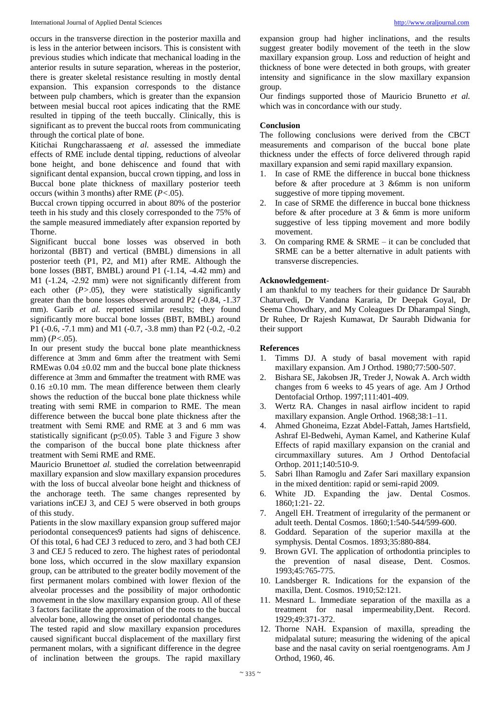occurs in the transverse direction in the posterior maxilla and is less in the anterior between incisors. This is consistent with previous studies which indicate that mechanical loading in the anterior results in suture separation, whereas in the posterior, there is greater skeletal resistance resulting in mostly dental expansion. This expansion corresponds to the distance between pulp chambers, which is greater than the expansion between mesial buccal root apices indicating that the RME resulted in tipping of the teeth buccally. Clinically, this is significant as to prevent the buccal roots from communicating through the cortical plate of bone.

Kitichai Rungcharassaeng *et al.* assessed the immediate effects of RME include dental tipping, reductions of alveolar bone height, and bone dehiscence and found that with significant dental expansion, buccal crown tipping, and loss in Buccal bone plate thickness of maxillary posterior teeth occurs (within 3 months) after RME (*P<*.05).

Buccal crown tipping occurred in about 80% of the posterior teeth in his study and this closely corresponded to the 75% of the sample measured immediately after expansion reported by Thorne.

Significant buccal bone losses was observed in both horizontal (BBT) and vertical (BMBL) dimensions in all posterior teeth (P1, P2, and M1) after RME. Although the bone losses (BBT, BMBL) around P1 (-1.14, -4.42 mm) and M1 (-1.24, -2.92 mm) were not significantly different from each other  $(P>0.05)$ , they were statistically significantly greater than the bone losses observed around P2 (-0.84, -1.37 mm). Garib *et al.* reported similar results; they found significantly more buccal bone losses (BBT, BMBL) around P1 (-0.6, -7.1 mm) and M1 (-0.7, -3.8 mm) than P2 (-0.2, -0.2 mm) (*P<*.05).

In our present study the buccal bone plate meanthickness difference at 3mm and 6mm after the treatment with Semi RMEwas  $0.04 \pm 0.02$  mm and the buccal bone plate thickness difference at 3mm and 6mmafter the treatment with RME was  $0.16 \pm 0.10$  mm. The mean difference between them clearly shows the reduction of the buccal bone plate thickness while treating with semi RME in comparion to RME. The mean difference between the buccal bone plate thickness after the treatment with Semi RME and RME at 3 and 6 mm was statistically significant ( $p \le 0.05$ ). Table 3 and Figure 3 show the comparison of the buccal bone plate thickness after treatment with Semi RME and RME.

Mauricio Brunetto*et al.* studied the correlation betweenrapid maxillary expansion and slow maxillary expansion procedures with the loss of buccal alveolar bone height and thickness of the anchorage teeth. The same changes represented by variations inCEJ 3, and CEJ 5 were observed in both groups of this study.

Patients in the slow maxillary expansion group suffered major periodontal consequences9 patients had signs of dehiscence. Of this total, 6 had CEJ 3 reduced to zero, and 3 had both CEJ 3 and CEJ 5 reduced to zero. The highest rates of periodontal bone loss, which occurred in the slow maxillary expansion group, can be attributed to the greater bodily movement of the first permanent molars combined with lower flexion of the alveolar processes and the possibility of major orthodontic movement in the slow maxillary expansion group. All of these 3 factors facilitate the approximation of the roots to the buccal alveolar bone, allowing the onset of periodontal changes.

The tested rapid and slow maxillary expansion procedures caused significant buccal displacement of the maxillary first permanent molars, with a significant difference in the degree of inclination between the groups. The rapid maxillary

expansion group had higher inclinations, and the results suggest greater bodily movement of the teeth in the slow maxillary expansion group. Loss and reduction of height and thickness of bone were detected in both groups, with greater intensity and significance in the slow maxillary expansion group.

Our findings supported those of Mauricio Brunetto *et al.* which was in concordance with our study.

# **Conclusion**

The following conclusions were derived from the CBCT measurements and comparison of the buccal bone plate thickness under the effects of force delivered through rapid maxillary expansion and semi rapid maxillary expansion.

- 1. In case of RME the difference in buccal bone thickness before & after procedure at 3 &6mm is non uniform suggestive of more tipping movement.
- 2. In case of SRME the difference in buccal bone thickness before & after procedure at 3 & 6mm is more uniform suggestive of less tipping movement and more bodily movement.
- 3. On comparing RME  $&$  SRME it can be concluded that SRME can be a better alternative in adult patients with transverse discrepencies.

# **Acknowledgement**-

I am thankful to my teachers for their guidance Dr Saurabh Chaturvedi, Dr Vandana Kararia, Dr Deepak Goyal, Dr Seema Chowdhary, and My Coleagues Dr Dharampal Singh, Dr Ruhee, Dr Rajesh Kumawat, Dr Saurabh Didwania for their support

# **References**

- 1. Timms DJ. A study of basal movement with rapid maxillary expansion. Am J Orthod. 1980;77:500-507.
- 2. Bishara SE, Jakobsen JR, Treder J, Nowak A. Arch width changes from 6 weeks to 45 years of age. Am J Orthod Dentofacial Orthop. 1997;111:401-409.
- 3. Wertz RA. Changes in nasal airflow incident to rapid maxillary expansion. Angle Orthod. 1968;38:1–11.
- 4. Ahmed Ghoneima, Ezzat Abdel-Fattah, James Hartsfield, Ashraf El-Bedwehi, Ayman Kamel, and Katherine Kulaf Effects of rapid maxillary expansion on the cranial and circummaxillary sutures. Am J Orthod Dentofacial Orthop. 2011;140:510-9.
- 5. Sabri Ilhan Ramoglu and Zafer Sari maxillary expansion in the mixed dentition: rapid or semi-rapid 2009.
- 6. White JD. Expanding the jaw. Dental Cosmos. 1860;1:21- 22.
- 7. Angell EH. Treatment of irregularity of the permanent or adult teeth. Dental Cosmos. 1860;1:540-544/599-600.
- 8. Goddard. Separation of the superior maxilla at the symphysis. Dental Cosmos. 1893;35:880-884.
- 9. Brown GVI. The application of orthodontia principles to the prevention of nasal disease, Dent. Cosmos. 1993;45:765-775.
- 10. Landsberger R. Indications for the expansion of the maxilla, Dent. Cosmos. 1910;52:121.
- 11. Mesnard L. Immediate separation of the maxilla as a treatment for nasal impermeability,Dent. Record. 1929;49:371-372.
- 12. Thorne NAH. Expansion of maxilla, spreading the midpalatal suture; measuring the widening of the apical base and the nasal cavity on serial roentgenograms. Am J Orthod, 1960, 46.